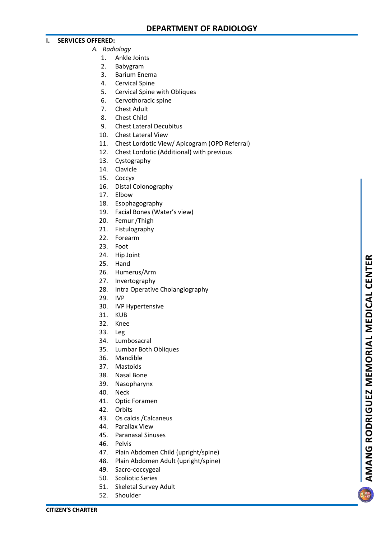## **I. SERVICES OFFERED:**

- *A. Radiology*
	- 1. Ankle Joints
	- 2. Babygram
	- 3. Barium Enema
	- 4. Cervical Spine
	- 5. Cervical Spine with Obliques
	- 6. Cervothoracic spine
	- 7. Chest Adult
	- 8. Chest Child
	- 9. Chest Lateral Decubitus
	- 10. Chest Lateral View
	- 11. Chest Lordotic View/ Apicogram (OPD Referral)
	- 12. Chest Lordotic (Additional) with previous
	- 13. Cystography
	- 14. Clavicle
	- 15. Coccyx
	- 16. Distal Colonography
	- 17. Elbow
	- 18. Esophagography
	- 19. Facial Bones (Water's view)
	- 20. Femur /Thigh
	- 21. Fistulography
	- 22. Forearm
	- 23. Foot
	- 24. Hip Joint
	- 25. Hand
	- 26. Humerus/Arm
	- 27. Invertography
	- 28. Intra Operative Cholangiography
	- 29. IVP
	- 30. IVP Hypertensive
	- 31. KUB
	- 32. Knee
	- 33. Leg
	- 34. Lumbosacral
	- 35. Lumbar Both Obliques
	- 36. Mandible
	- 37. Mastoids
	- 38. Nasal Bone
	- 39. Nasopharynx
	- 40. Neck
	- 41. Optic Foramen
	- 42. Orbits
	- 43. Os calcis /Calcaneus
	- 44. Parallax View
	- 45. Paranasal Sinuses
	- 46. Pelvis
	- 47. Plain Abdomen Child (upright/spine)
	- 48. Plain Abdomen Adult (upright/spine)
	- 49. Sacro -coccygeal
	- 50. Scoliotic Series
	- 51. Skeletal Survey Adult
	- 52. Shoulder

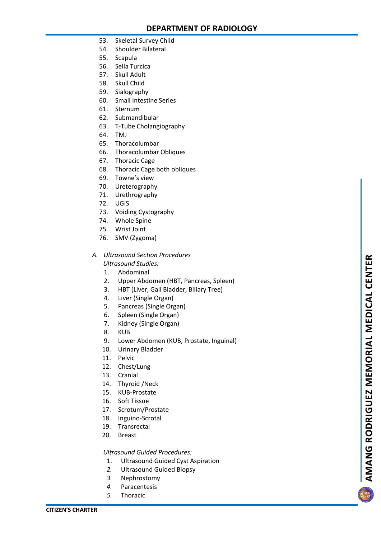- 53. Skeletal Survey Child
- 54. Shoulder Bilateral
- 55. Scapula
- 56. Sella Turcica
- 57. Skull Adult
- 58. Skull Child
- 59. Sialography
- 60. Small Intestine Series
- 61. Sternum
- 62. Submandibular
- 63. T -Tube Cholangiography
- 64. TMJ
- 65. Thoracolumbar
- 66. Thoracolumbar Obliques
- 67. Thoracic Cage
- 68. Thoracic Cage both obliques
- 69. Towne's view
- 70. Ureterography
- 71. Urethrography
- 72. UGIS
- 73. Voiding Cystography
- 74. Whole Spine
- 75. Wrist Joint
- 76. SMV (Zygoma)

## *A. Ultrasound Section Procedures Ultrasound Studies:*

- 1. Abdominal
- 2. Upper Abdomen (HBT, Pancreas, Spleen)
- 3. HBT (Liver, Gall Bladder, Biliary Tree)
- 4. Liver (Single Organ)
- 5. Pancreas (Single Organ)
- 6. Spleen (Single Organ)
- 7. Kidney (Single Organ)
- 8. KUB
- 9. Lower Abdomen (KUB, Prostate, Inguinal)
- 10. Urinary Bladder
- 11. Pelvic
- 12. Chest/Lung
- 13. Cranial
- 14. Thyroid /Neck
- 15. KUB -Prostate
- 16. Soft Tissue
- 17. Scrotum/Prostate
- 18. Inguino -Scrotal
- 19. Transrectal
- 20. Breast

## *Ultrasound Guided Procedures:*

- 1. Ultrasound Guided Cyst Aspiration
- *2.* Ultrasound Guided Biopsy
- *3.* Nephrostomy
- *4.* Paracentesis
- *5.* Thoracic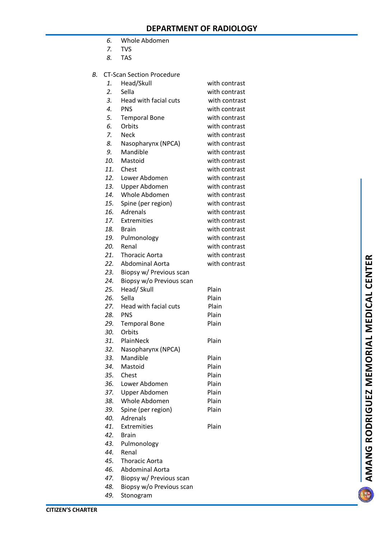- *6.* Whole Abdomen
- *7.* TVS
- *8.* TAS
- $B.$ -Scan Section Procedure

|     | <b>CT-Scan Section Procedure</b> |               |
|-----|----------------------------------|---------------|
| 1.  | Head/Skull                       | with contrast |
| 2.  | Sella                            | with contrast |
| 3.  | Head with facial cuts            | with contrast |
| 4.  | <b>PNS</b>                       | with contrast |
| 5.  | <b>Temporal Bone</b>             | with contrast |
| 6.  | Orbits                           | with contrast |
| 7.  | <b>Neck</b>                      | with contrast |
| 8.  | Nasopharynx (NPCA)               | with contrast |
| 9.  | Mandible                         | with contrast |
| 10. | Mastoid                          | with contrast |
| 11. | Chest                            | with contrast |
| 12. | Lower Abdomen                    | with contrast |
| 13. | Upper Abdomen                    | with contrast |
| 14. | Whole Abdomen                    | with contrast |
| 15. | Spine (per region)               | with contrast |
| 16. | Adrenals                         | with contrast |
| 17. | <b>Extremities</b>               | with contrast |
| 18. | <b>Brain</b>                     | with contrast |
| 19. | Pulmonology                      | with contrast |
| 20. | Renal                            | with contrast |
| 21. | <b>Thoracic Aorta</b>            | with contrast |
| 22. | <b>Abdominal Aorta</b>           | with contrast |
| 23. | Biopsy w/ Previous scan          |               |
| 24. | Biopsy w/o Previous scan         |               |
| 25. | Head/ Skull                      | Plain         |
| 26. | Sella                            | Plain         |
| 27. | Head with facial cuts            | Plain         |
| 28. | <b>PNS</b>                       | Plain         |
| 29. | <b>Temporal Bone</b>             | Plain         |
| 30. | Orbits                           |               |
| 31. | PlainNeck                        | Plain         |
| 32. | Nasopharynx (NPCA)               |               |
| 33. | Mandible                         | Plain         |
| 34. | Mastoid                          | Plain         |
| 35. | Chest                            | Plain         |
| 36. | Lower Abdomen                    | Plain         |
| 37. | Upper Abdomen                    | Plain         |
| 38. | Whole Abdomen                    | Plain         |
| 39. | Spine (per region)               | Plain         |
| 40. | Adrenals                         |               |
| 41. | Extremities                      | Plain         |
| 42. | <b>Brain</b>                     |               |
| 43. | Pulmonology                      |               |
| 44. | Renal                            |               |

- *45.* Thoracic Aorta
- *46.* Abdominal Aorta
- *47.* Biopsy w/ Previous scan
- *48.* Biopsy w/o Previous scan
- *49.* Stonogram